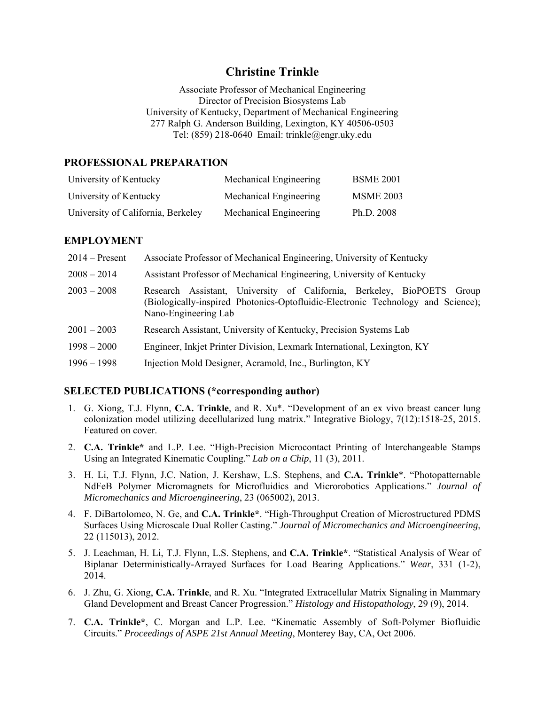# **Christine Trinkle**

Associate Professor of Mechanical Engineering Director of Precision Biosystems Lab University of Kentucky, Department of Mechanical Engineering 277 Ralph G. Anderson Building, Lexington, KY 40506-0503 Tel: (859) 218-0640 Email: trinkle@engr.uky.edu

#### **PROFESSIONAL PREPARATION**

| University of Kentucky             | Mechanical Engineering | <b>BSME 2001</b> |
|------------------------------------|------------------------|------------------|
| University of Kentucky             | Mechanical Engineering | <b>MSME 2003</b> |
| University of California, Berkeley | Mechanical Engineering | Ph.D. 2008       |

#### **EMPLOYMENT**

| $2014 -$ Present | Associate Professor of Mechanical Engineering, University of Kentucky                                                                                                              |
|------------------|------------------------------------------------------------------------------------------------------------------------------------------------------------------------------------|
| $2008 - 2014$    | Assistant Professor of Mechanical Engineering, University of Kentucky                                                                                                              |
| $2003 - 2008$    | Research Assistant, University of California, Berkeley, BioPOETS Group<br>(Biologically-inspired Photonics-Optofluidic-Electronic Technology and Science);<br>Nano-Engineering Lab |
| $2001 - 2003$    | Research Assistant, University of Kentucky, Precision Systems Lab                                                                                                                  |
| $1998 - 2000$    | Engineer, Inkjet Printer Division, Lexmark International, Lexington, KY                                                                                                            |
| $1996 - 1998$    | Injection Mold Designer, Acramold, Inc., Burlington, KY                                                                                                                            |

### **SELECTED PUBLICATIONS (\*corresponding author)**

- 1. G. Xiong, T.J. Flynn, **C.A. Trinkle**, and R. Xu\*. "Development of an ex vivo breast cancer lung colonization model utilizing decellularized lung matrix." Integrative Biology, 7(12):1518-25, 2015. Featured on cover.
- 2. **C.A. Trinkle\*** and L.P. Lee. "High-Precision Microcontact Printing of Interchangeable Stamps Using an Integrated Kinematic Coupling." *Lab on a Chip*, 11 (3), 2011.
- 3. H. Li, T.J. Flynn, J.C. Nation, J. Kershaw, L.S. Stephens, and **C.A. Trinkle**\*. "Photopatternable NdFeB Polymer Micromagnets for Microfluidics and Microrobotics Applications." *Journal of Micromechanics and Microengineering*, 23 (065002), 2013.
- 4. F. DiBartolomeo, N. Ge, and **C.A. Trinkle\***. "High-Throughput Creation of Microstructured PDMS Surfaces Using Microscale Dual Roller Casting." *Journal of Micromechanics and Microengineering*, 22 (115013), 2012.
- 5. J. Leachman, H. Li, T.J. Flynn, L.S. Stephens, and **C.A. Trinkle\***. "Statistical Analysis of Wear of Biplanar Deterministically-Arrayed Surfaces for Load Bearing Applications." *Wear*, 331 (1-2), 2014.
- 6. J. Zhu, G. Xiong, **C.A. Trinkle**, and R. Xu. "Integrated Extracellular Matrix Signaling in Mammary Gland Development and Breast Cancer Progression." *Histology and Histopathology*, 29 (9), 2014.
- 7. **C.A. Trinkle\***, C. Morgan and L.P. Lee. "Kinematic Assembly of Soft-Polymer Biofluidic Circuits." *Proceedings of ASPE 21st Annual Meeting*, Monterey Bay, CA, Oct 2006.